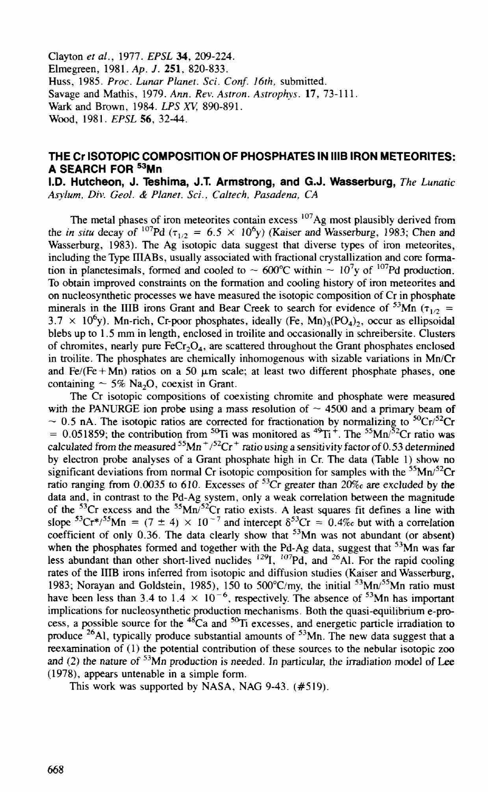Clayton *et al.,* 1977. *EPSL* **34,** 209-224. Elmegreen, 1981. *Ap.* J. **251,** 820-833. Huss, 1985. *Proc. Lunar Planet. Sci. Conf. 16th,* submitted. Savage and Mathis, 1979. *Ann. Rev. Astron. Astrophys.* **17,** 73-111. Wark and Brown, 1984. *LPS XV,* 890-891. Wood , 1981. *EPSL* 56, 32-44.

## **THE Cr ISOTOPIC COMPOSITION OF PHOSPHATES IN 1118 IRON METEORITES: A SEARCH FOR 53Mn**

**I.D. Hutcheon, J. Teshima, J.T. Armstrong, and G.J. Wasserburg,** *The Lunatic Asylum, Div. Geol.* & *Planet. Sci., Co/tech, Pasadena,* CA

The metal phases of iron meteorites contain excess <sup>107</sup>Ag most plausibly derived from the *in situ* decay of <sup>107</sup>Pd ( $\tau_{1/2}$  = 6.5  $\times$  10<sup>6</sup>y) (Kaiser and Wasserburg, 1983; Chen and Wasserburg, 1983). The Ag isotopic data suggest that diverse types of iron meteorites, including the Type IIIABs, usually associated with fractional crystallization and core formation in planetesimals, formed and cooled to  $\sim 600^{\circ}$ C within  $\sim 10^{7}$ y of <sup>107</sup>Pd production. To obtain improved constraints on the formation and cooling history of iron meteorites and on nucleosynthetic processes we have measured the isotopic composition of Cr in phosphate minerals in the IIIB irons Grant and Bear Creek to search for evidence of <sup>53</sup>Mn ( $\tau_{1/2}$  =  $3.7 \times 10^6$ y). Mn-rich, Cr-poor phosphates, ideally (Fe, Mn)<sub>3</sub>(PO<sub>4</sub>)<sub>2</sub>, occur as ellipsoidal blebs up to 1.5 mm in length, enclosed in troilite and occasionally in schreibersite. Clusters of chromites, nearly pure  $FeCr_2O<sub>4</sub>$ , are scattered throughout the Grant phosphates enclosed in troilite. The phosphates are chemically inhomogenous with sizable variations in Mn/Cr and  $Fe/(Fe + Mn)$  ratios on a 50  $\mu$ m scale; at least two different phosphate phases, one containing  $\sim$  5% Na<sub>2</sub>O, coexist in Grant.

The Cr isotopic compositions of coexisting chromite and phosphate were measured with the PANURGE ion probe using a mass resolution of  $\sim$  4500 and a primary beam of  $\sim$  0.5 nA. The isotopic ratios are corrected for fractionation by normalizing to  ${}^{50}Cr/{}^{52}Cr$ = 0.051859; the contribution from <sup>50</sup>Ti was monitored as <sup>49</sup>Ti<sup>+</sup>. The <sup>55</sup>Mn/<sup>32</sup>Cr ratio was calculated from the measured  $55$ Mn<sup>+</sup>/ $52$ Cr<sup>+</sup> ratio using a sensitivity factor of 0.53 determined by electron probe analyses of a Grant phosphate high in Cr. The data (Table I) show no significant deviations from normal Cr isotopic composition for samples with the  $55$ Mn/ $52$ Cr ratio ranging from 0.0035 to 610. Excesses of 53 Cr greater than *20%c* are excluded by the data and, in contrast to the Pd-Ag system, only a weak correlation between the magnitude of the  $53Cr$  excess and the  $55Mn/52Cr$  ratio exists. A least squares fit defines a line with slope  ${}^{53}Cr^{*/55}Mn = (7 \pm 4) \times 10^{-7}$  and intercept  $\delta^{53}Cr = 0.4\%$  but with a correlation coefficient of only 0.36. The data clearly show that  $5<sup>3</sup>Mn$  was not abundant (or absent) when the phosphates formed and together with the Pd-Ag data, suggest that <sup>53</sup>Mn was far less abundant than other short-lived nuclides  $^{129}$ I,  $^{107}$ Pd, and  $^{26}$ Al. For the rapid cooling rates of the IIIB irons inferred from isotopic and diffusion studies (Kaiser and Wasserburg, 1983; Norayan and Goldstein, 1985), 150 to  $500^{\circ}$ C/my, the initial  $^{53}$ Mn $^{55}$ Mn ratio must have been less than 3.4 to  $1.4 \times 10^{-6}$ , respectively. The absence of <sup>53</sup>Mn has important implications for nucleosynthetic production mechanisms. Both the quasi-equilibrium e-process, a possible source for the <sup>48</sup>Ca and <sup>50</sup>Ti excesses, and energetic particle irradiation to produce <sup>26</sup>Al, typically produce substantial amounts of <sup>53</sup>Mn. The new data suggest that a reexamination of (I) the potential contribution of these sources to the nebular isotopic zoo and (2) the nature of  $53$ Mn production is needed. In particular, the irradiation model of Lee (1978), appears untenable in a simple form.

This work was supported by NASA, NAG 9-43. (#519).